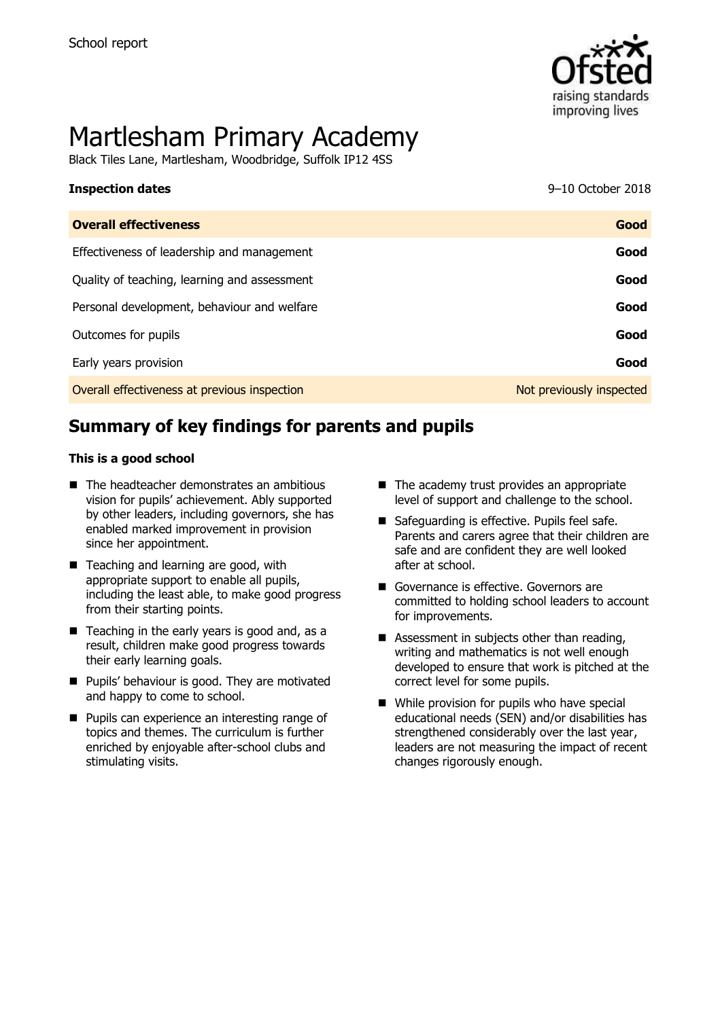

# Martlesham Primary Academy

Black Tiles Lane, Martlesham, Woodbridge, Suffolk IP12 4SS

| <b>Inspection dates</b>                      | 9-10 October 2018        |
|----------------------------------------------|--------------------------|
| <b>Overall effectiveness</b>                 | Good                     |
| Effectiveness of leadership and management   | Good                     |
| Quality of teaching, learning and assessment | Good                     |
| Personal development, behaviour and welfare  | Good                     |
| Outcomes for pupils                          | Good                     |
| Early years provision                        | Good                     |
| Overall effectiveness at previous inspection | Not previously inspected |

# **Summary of key findings for parents and pupils**

### **This is a good school**

- The headteacher demonstrates an ambitious vision for pupils' achievement. Ably supported by other leaders, including governors, she has enabled marked improvement in provision since her appointment.
- Teaching and learning are good, with appropriate support to enable all pupils, including the least able, to make good progress from their starting points.
- $\blacksquare$  Teaching in the early years is good and, as a result, children make good progress towards their early learning goals.
- **Pupils' behaviour is good. They are motivated** and happy to come to school.
- **Pupils can experience an interesting range of** topics and themes. The curriculum is further enriched by enjoyable after-school clubs and stimulating visits.
- $\blacksquare$  The academy trust provides an appropriate level of support and challenge to the school.
- Safeguarding is effective. Pupils feel safe. Parents and carers agree that their children are safe and are confident they are well looked after at school.
- Governance is effective. Governors are committed to holding school leaders to account for improvements.
- Assessment in subjects other than reading, writing and mathematics is not well enough developed to ensure that work is pitched at the correct level for some pupils.
- While provision for pupils who have special educational needs (SEN) and/or disabilities has strengthened considerably over the last year, leaders are not measuring the impact of recent changes rigorously enough.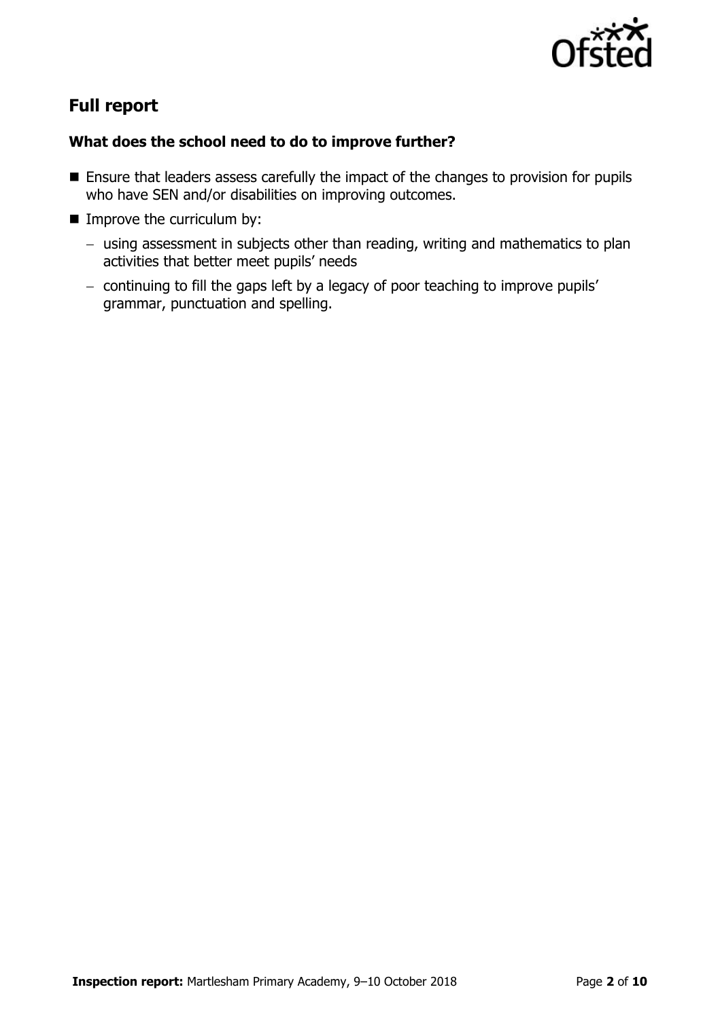

# **Full report**

### **What does the school need to do to improve further?**

- **Ensure that leaders assess carefully the impact of the changes to provision for pupils** who have SEN and/or disabilities on improving outcomes.
- **IMPROVE the curriculum by:** 
	- using assessment in subjects other than reading, writing and mathematics to plan activities that better meet pupils' needs
	- continuing to fill the gaps left by a legacy of poor teaching to improve pupils' grammar, punctuation and spelling.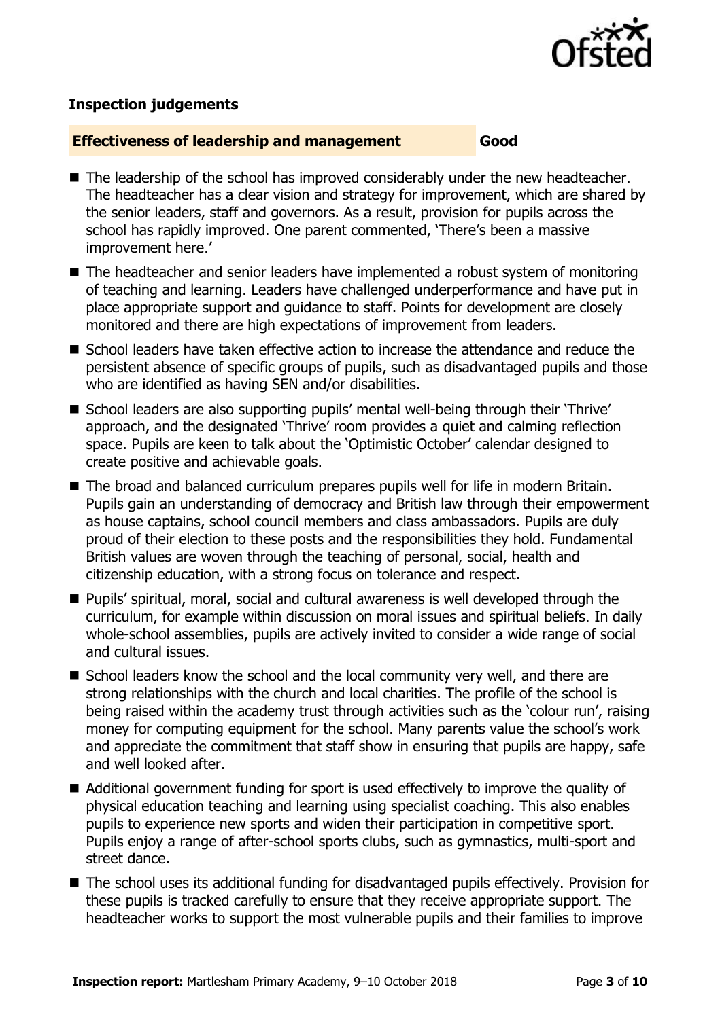

### **Inspection judgements**

### **Effectiveness of leadership and management Good**

- The leadership of the school has improved considerably under the new headteacher. The headteacher has a clear vision and strategy for improvement, which are shared by the senior leaders, staff and governors. As a result, provision for pupils across the school has rapidly improved. One parent commented, 'There's been a massive improvement here.'
- The headteacher and senior leaders have implemented a robust system of monitoring of teaching and learning. Leaders have challenged underperformance and have put in place appropriate support and guidance to staff. Points for development are closely monitored and there are high expectations of improvement from leaders.
- $\blacksquare$  School leaders have taken effective action to increase the attendance and reduce the persistent absence of specific groups of pupils, such as disadvantaged pupils and those who are identified as having SEN and/or disabilities.
- School leaders are also supporting pupils' mental well-being through their 'Thrive' approach, and the designated 'Thrive' room provides a quiet and calming reflection space. Pupils are keen to talk about the 'Optimistic October' calendar designed to create positive and achievable goals.
- The broad and balanced curriculum prepares pupils well for life in modern Britain. Pupils gain an understanding of democracy and British law through their empowerment as house captains, school council members and class ambassadors. Pupils are duly proud of their election to these posts and the responsibilities they hold. Fundamental British values are woven through the teaching of personal, social, health and citizenship education, with a strong focus on tolerance and respect.
- Pupils' spiritual, moral, social and cultural awareness is well developed through the curriculum, for example within discussion on moral issues and spiritual beliefs. In daily whole-school assemblies, pupils are actively invited to consider a wide range of social and cultural issues.
- School leaders know the school and the local community very well, and there are strong relationships with the church and local charities. The profile of the school is being raised within the academy trust through activities such as the 'colour run', raising money for computing equipment for the school. Many parents value the school's work and appreciate the commitment that staff show in ensuring that pupils are happy, safe and well looked after.
- Additional government funding for sport is used effectively to improve the quality of physical education teaching and learning using specialist coaching. This also enables pupils to experience new sports and widen their participation in competitive sport. Pupils enjoy a range of after-school sports clubs, such as gymnastics, multi-sport and street dance.
- The school uses its additional funding for disadvantaged pupils effectively. Provision for these pupils is tracked carefully to ensure that they receive appropriate support. The headteacher works to support the most vulnerable pupils and their families to improve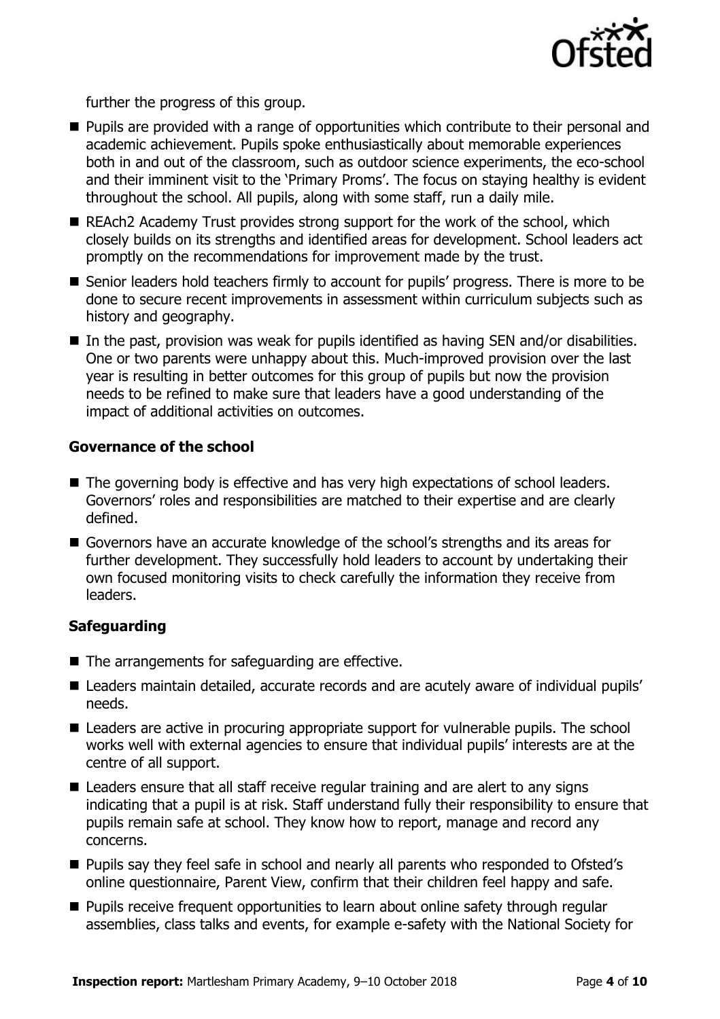

further the progress of this group.

- **Pupils are provided with a range of opportunities which contribute to their personal and** academic achievement. Pupils spoke enthusiastically about memorable experiences both in and out of the classroom, such as outdoor science experiments, the eco-school and their imminent visit to the 'Primary Proms'. The focus on staying healthy is evident throughout the school. All pupils, along with some staff, run a daily mile.
- REAch2 Academy Trust provides strong support for the work of the school, which closely builds on its strengths and identified areas for development. School leaders act promptly on the recommendations for improvement made by the trust.
- Senior leaders hold teachers firmly to account for pupils' progress. There is more to be done to secure recent improvements in assessment within curriculum subjects such as history and geography.
- In the past, provision was weak for pupils identified as having SEN and/or disabilities. One or two parents were unhappy about this. Much-improved provision over the last year is resulting in better outcomes for this group of pupils but now the provision needs to be refined to make sure that leaders have a good understanding of the impact of additional activities on outcomes.

### $\overline{\phantom{a}}$ **Governance of the school**

- **Effectiveness of leadership and management management Good**  ■ The governing body is effective and has very high expectations of school leaders. Governors' roles and responsibilities are matched to their expertise and are clearly defined.
- $\blacksquare$  Governors have an accurate knowledge of the school's strengths and its areas for further development. They successfully hold leaders to account by undertaking their own focused monitoring visits to check carefully the information they receive from  $leaders.$ leaders.

### $p_\mu$  , and the contract of the contract of the contract of the contract of the contract of the contract of the contract of the contract of the contract of the contract of the contract of the contract of the contract of t \_s\_c\_h\_o\_o\_l\_ \_a\_n\_d\_ \_w\_o\_r\_k\_ \_t\_o\_g\_e\_t\_h\_e\_r\_ \_a\_s\_ \_a\_ \_s\_t\_r\_o\_n\_g\_ **Safeguarding**

- $\blacksquare$  The arrangements for safeguarding are effective.
- Leaders maintain detailed, accurate records and are acutely aware of individual pupils'  $\epsilon$ eds. needs.
- $\blacksquare$  ) and any one only in the component of a sequence of  $\ell$  , and the collection in  $\blacksquare$  . The calcultural Leauers are active in procuring appropriate support for vulnerable pupils. works well with external agencies to ensure that individual pupils' interests are at the  $\alpha$ ilu $\sigma$  or all support. **E** Leaders are active in procuring appropriate support for vulnerable pupils. The school centre of all support.
- $\blacksquare$  Leaders ensure that all staff receive regular training and are alert to any signs indicating that a pupil is at risk. Staff understand fully their responsibility to ensure that pupils remain safe at school. They know how to report, manage and record any  $\Sigma$ uncerns. concerns.
- **Th** Pupils say they feel safe in school and nearly all parents who responded to Ofsted's online questionnaire, Parent View, confirm that their children feel happy and safe. \_s\_u\_b\_j\_e\_c\_t\_s\_.\_ \_S\_e\_n\_i\_o\_r\_ \_l\_e\_a\_d\_e\_r\_s\_ \_h\_o\_l\_d\_ \_t\_e\_a\_c\_h\_e\_r\_s\_
- **The Pupils receive frequent opportunities to learn about online safety through regular** assemblies, class talks and events, for example e-safety with the National Society for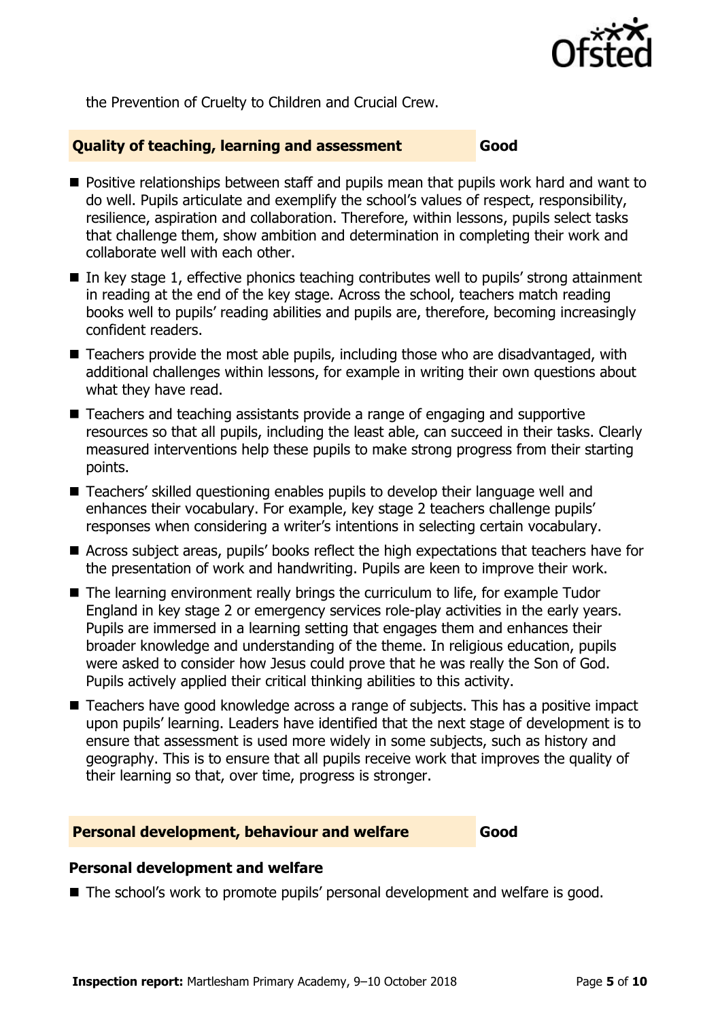

the Prevention of Cruelty to Children and Crucial Crew.

### **Quality of teaching, learning and assessment Good**

- **Positive relationships between staff and pupils mean that pupils work hard and want to** do well. Pupils articulate and exemplify the school's values of respect, responsibility, resilience, aspiration and collaboration. Therefore, within lessons, pupils select tasks that challenge them, show ambition and determination in completing their work and collaborate well with each other.
- $\blacksquare$  In key stage 1, effective phonics teaching contributes well to pupils' strong attainment in reading at the end of the key stage. Across the school, teachers match reading books well to pupils' reading abilities and pupils are, therefore, becoming increasingly confident readers.
- Teachers provide the most able pupils, including those who are disadvantaged, with additional challenges within lessons, for example in writing their own questions about what they have read.
- Teachers and teaching assistants provide a range of engaging and supportive resources so that all pupils, including the least able, can succeed in their tasks. Clearly measured interventions help these pupils to make strong progress from their starting points.
- Teachers' skilled questioning enables pupils to develop their language well and enhances their vocabulary. For example, key stage 2 teachers challenge pupils' responses when considering a writer's intentions in selecting certain vocabulary.
- Across subject areas, pupils' books reflect the high expectations that teachers have for the presentation of work and handwriting. Pupils are keen to improve their work.
- The learning environment really brings the curriculum to life, for example Tudor England in key stage 2 or emergency services role-play activities in the early years. Pupils are immersed in a learning setting that engages them and enhances their broader knowledge and understanding of the theme. In religious education, pupils were asked to consider how Jesus could prove that he was really the Son of God. Pupils actively applied their critical thinking abilities to this activity.
- Teachers have good knowledge across a range of subjects. This has a positive impact upon pupils' learning. Leaders have identified that the next stage of development is to ensure that assessment is used more widely in some subjects, such as history and geography. This is to ensure that all pupils receive work that improves the quality of their learning so that, over time, progress is stronger.

### **Personal development, behaviour and welfare Good**

### **Personal development and welfare**

■ The school's work to promote pupils' personal development and welfare is good.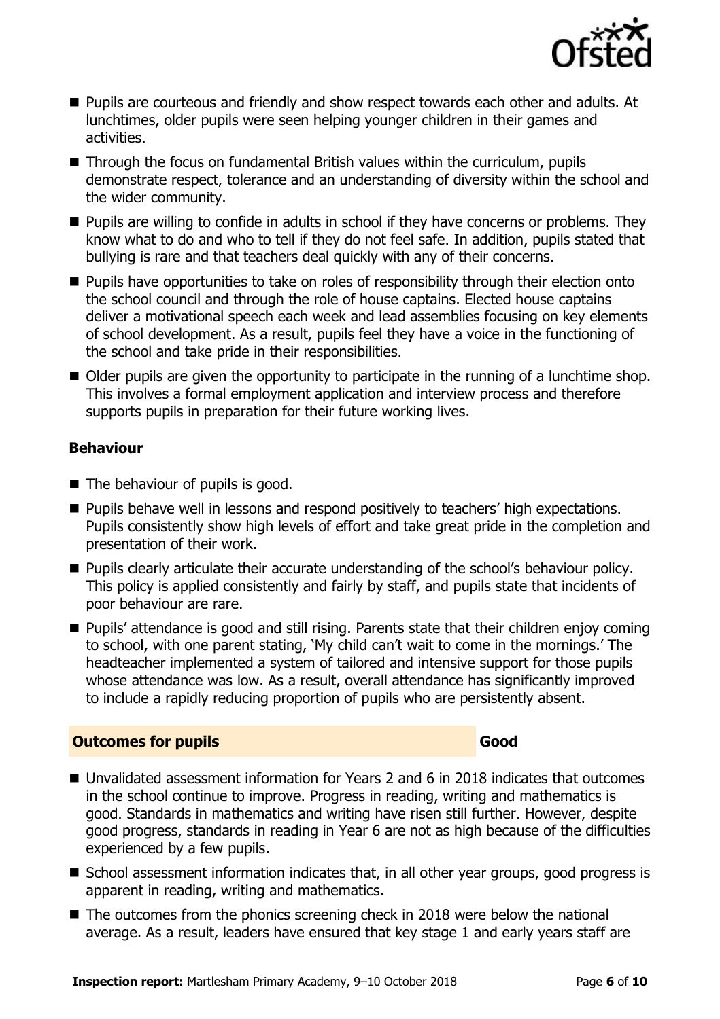

- Pupils are courteous and friendly and show respect towards each other and adults. At lunchtimes, older pupils were seen helping younger children in their games and activities.
- Through the focus on fundamental British values within the curriculum, pupils demonstrate respect, tolerance and an understanding of diversity within the school and the wider community.
- **Pupils are willing to confide in adults in school if they have concerns or problems. They** know what to do and who to tell if they do not feel safe. In addition, pupils stated that bullying is rare and that teachers deal quickly with any of their concerns.
- **Pupils have opportunities to take on roles of responsibility through their election onto** the school council and through the role of house captains. Elected house captains deliver a motivational speech each week and lead assemblies focusing on key elements of school development. As a result, pupils feel they have a voice in the functioning of the school and take pride in their responsibilities.
- Older pupils are given the opportunity to participate in the running of a lunchtime shop. This involves a formal employment application and interview process and therefore supports pupils in preparation for their future working lives.

### **Behaviour**

- The behaviour of pupils is good.
- **Pupils behave well in lessons and respond positively to teachers' high expectations.** Pupils consistently show high levels of effort and take great pride in the completion and presentation of their work.
- **Pupils clearly articulate their accurate understanding of the school's behaviour policy.** This policy is applied consistently and fairly by staff, and pupils state that incidents of poor behaviour are rare.
- Pupils' attendance is good and still rising. Parents state that their children enjoy coming to school, with one parent stating, 'My child can't wait to come in the mornings.' The headteacher implemented a system of tailored and intensive support for those pupils whose attendance was low. As a result, overall attendance has significantly improved to include a rapidly reducing proportion of pupils who are persistently absent.

### **Outcomes for pupils Good**

- Unvalidated assessment information for Years 2 and 6 in 2018 indicates that outcomes in the school continue to improve. Progress in reading, writing and mathematics is good. Standards in mathematics and writing have risen still further. However, despite good progress, standards in reading in Year 6 are not as high because of the difficulties experienced by a few pupils.
- School assessment information indicates that, in all other year groups, good progress is apparent in reading, writing and mathematics.
- The outcomes from the phonics screening check in 2018 were below the national average. As a result, leaders have ensured that key stage 1 and early years staff are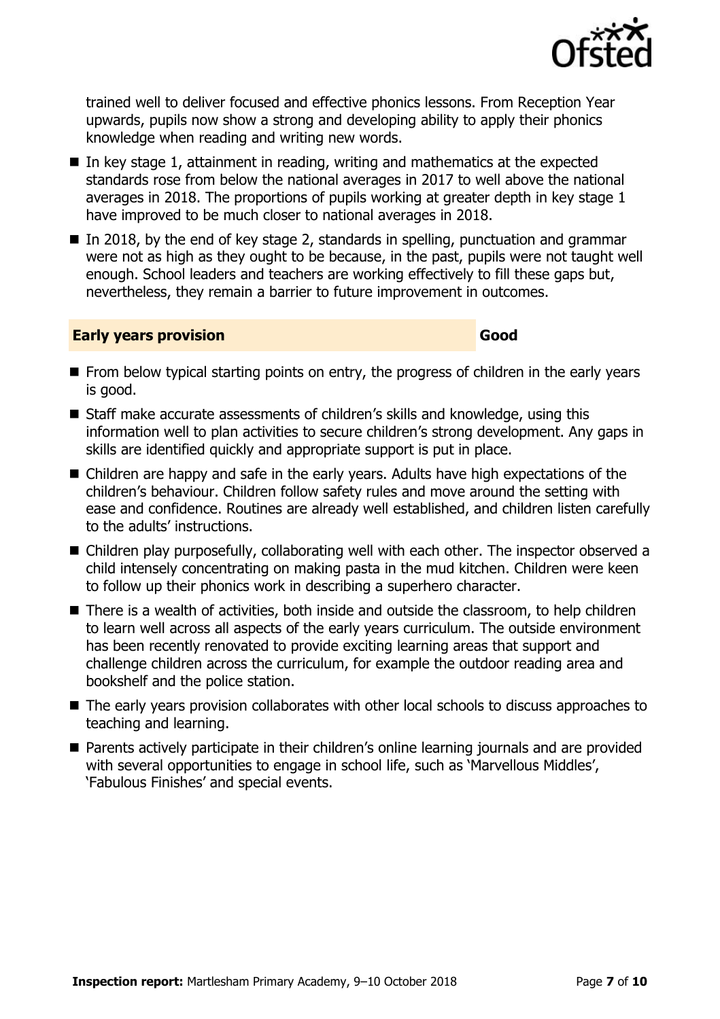

■ The early years provision collaborates with other local schools to discuss approaches to teaching and learning.

 Parents actively participate in their children's online learning journals and are provided with several opportunities to engage in school life, such as 'Marvellous Middles', 'Fabulous Finishes' and special events.

- to learn well across all aspects of the early years curriculum. The outside environment has been recently renovated to provide exciting learning areas that support and challenge children across the curriculum, for example the outdoor reading area and bookshelf and the police station.
- child intensely concentrating on making pasta in the mud kitchen. Children were keen to follow up their phonics work in describing a superhero character. ■ There is a wealth of activities, both inside and outside the classroom, to help children

■ Children play purposefully, collaborating well with each other. The inspector observed a

- skills are identified quickly and appropriate support is put in place.
- information well to plan activities to secure children's strong development. Any gaps in
- Children are happy and safe in the early years. Adults have high expectations of the children's behaviour. Children follow safety rules and move around the setting with ease and confidence. Routines are already well established, and children listen carefully
- From below typical starting points on entry, the progress of children in the early years is good. ■ Staff make accurate assessments of children's skills and knowledge, using this

**Early years provision Good Good** 

to the adults' instructions.

- In key stage 1, attainment in reading, writing and mathematics at the expected standards rose from below the national averages in 2017 to well above the national averages in 2018. The proportions of pupils working at greater depth in key stage 1 have improved to be much closer to national averages in 2018.
- -
- In 2018, by the end of key stage 2, standards in spelling, punctuation and grammar were not as high as they ought to be because, in the past, pupils were not taught well enough. School leaders and teachers are working effectively to fill these gaps but, nevertheless, they remain a barrier to future improvement in outcomes.

trained well to deliver focused and effective phonics lessons. From Reception Year upwards, pupils now show a strong and developing ability to apply their phonics knowledge when reading and writing new words.

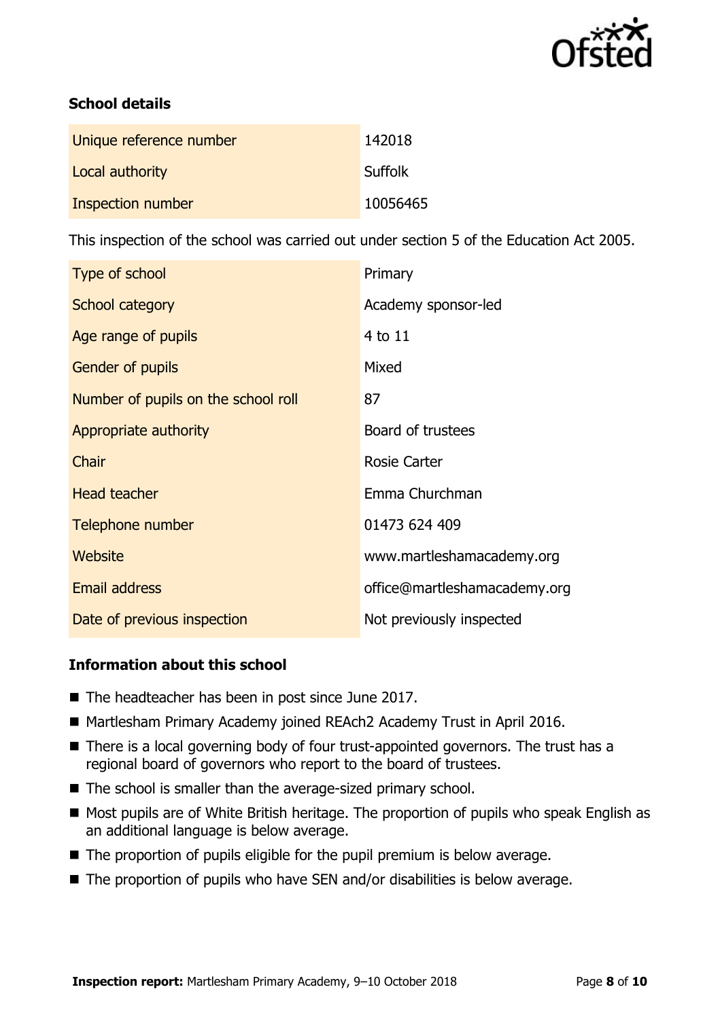

### **School details**

| Unique reference number | 142018         |
|-------------------------|----------------|
| Local authority         | <b>Suffolk</b> |
| Inspection number       | 10056465       |

This inspection of the school was carried out under section 5 of the Education Act 2005.

| Type of school                      | Primary                      |
|-------------------------------------|------------------------------|
| School category                     | Academy sponsor-led          |
| Age range of pupils                 | 4 to 11                      |
| <b>Gender of pupils</b>             | Mixed                        |
| Number of pupils on the school roll | 87                           |
| Appropriate authority               | Board of trustees            |
| Chair                               | <b>Rosie Carter</b>          |
| <b>Head teacher</b>                 | Emma Churchman               |
| Telephone number                    | 01473 624 409                |
| Website                             | www.martleshamacademy.org    |
| <b>Email address</b>                | office@martleshamacademy.org |
| Date of previous inspection         | Not previously inspected     |

### **Information about this school**

- The headteacher has been in post since June 2017.
- Martlesham Primary Academy joined REAch2 Academy Trust in April 2016.
- There is a local governing body of four trust-appointed governors. The trust has a regional board of governors who report to the board of trustees.
- The school is smaller than the average-sized primary school.
- Most pupils are of White British heritage. The proportion of pupils who speak English as an additional language is below average.
- The proportion of pupils eligible for the pupil premium is below average.
- $\blacksquare$  The proportion of pupils who have SEN and/or disabilities is below average.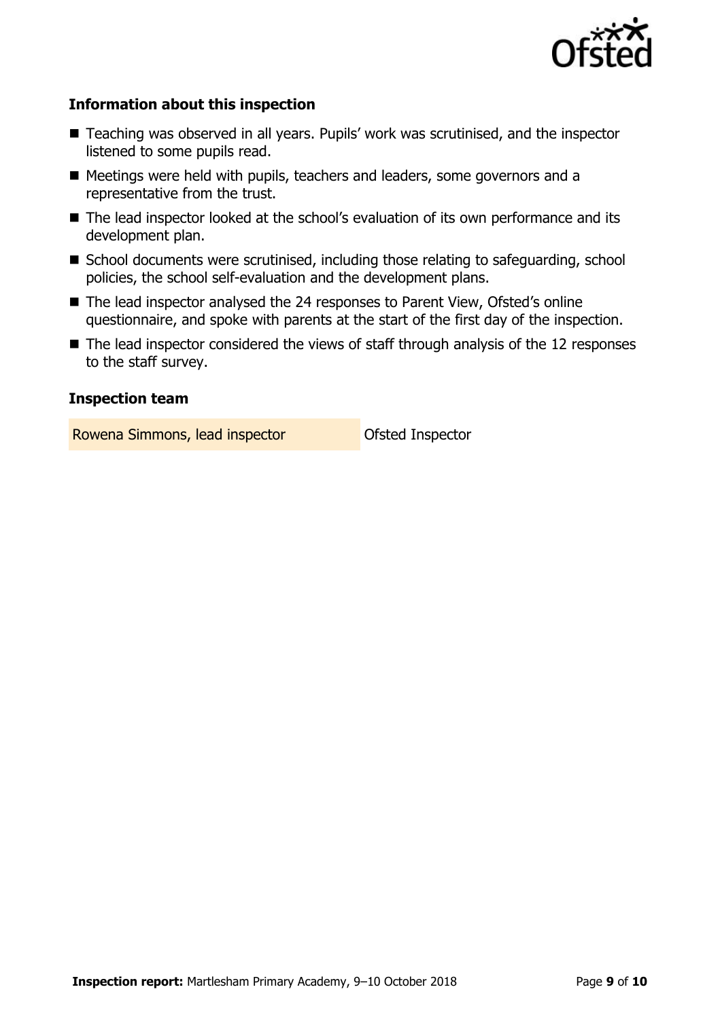

### **Information about this inspection**

- Teaching was observed in all years. Pupils' work was scrutinised, and the inspector listened to some pupils read.
- Meetings were held with pupils, teachers and leaders, some governors and a representative from the trust.
- The lead inspector looked at the school's evaluation of its own performance and its development plan.
- School documents were scrutinised, including those relating to safeguarding, school policies, the school self-evaluation and the development plans.
- The lead inspector analysed the 24 responses to Parent View, Ofsted's online questionnaire, and spoke with parents at the start of the first day of the inspection.
- The lead inspector considered the views of staff through analysis of the 12 responses to the staff survey.

### **Inspection team**

Rowena Simmons, lead inspector **Constanting Constant** Ofsted Inspector